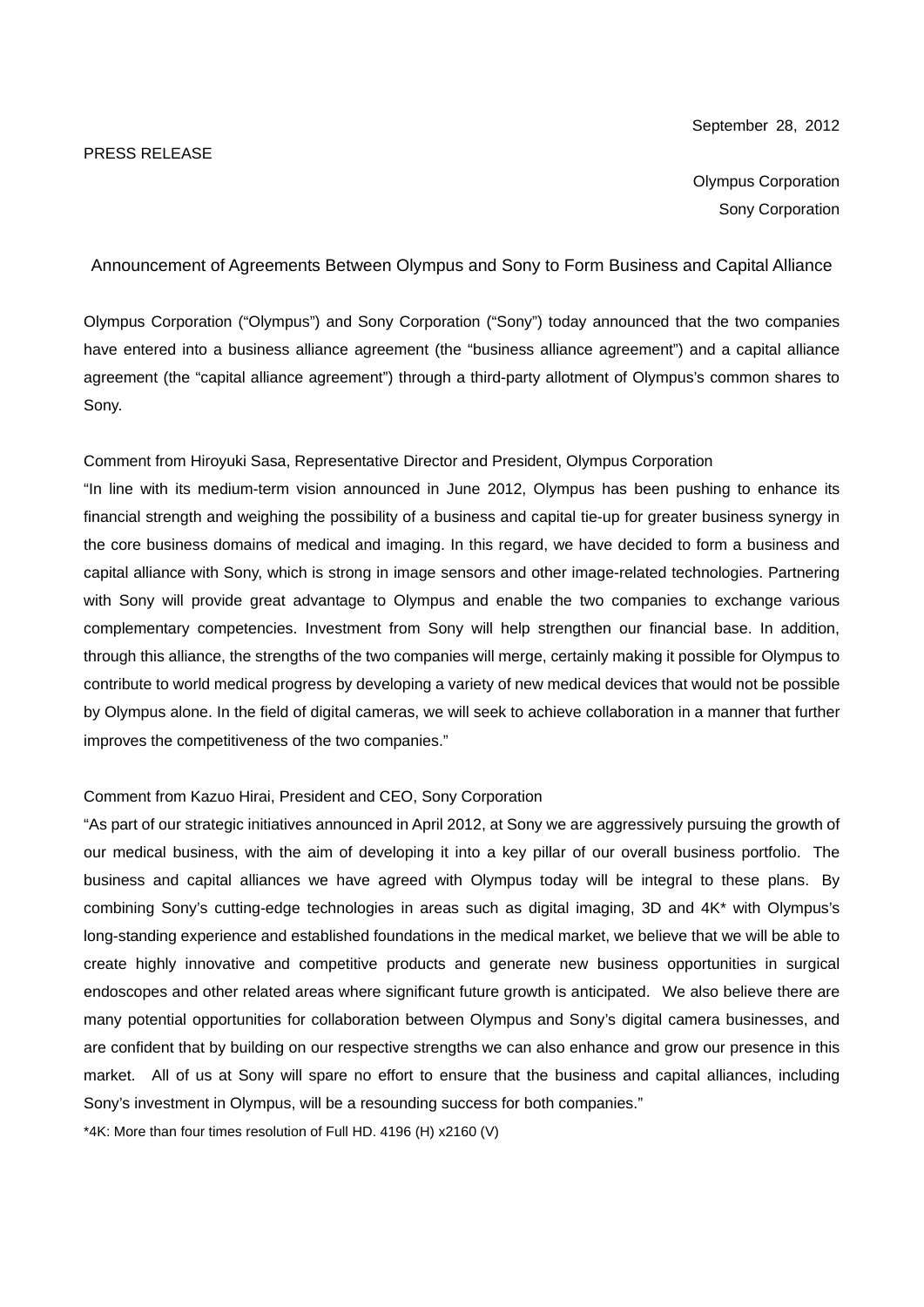#### September 28, 2012

Olympus Corporation Sony Corporation

Announcement of Agreements Between Olympus and Sony to Form Business and Capital Alliance

Olympus Corporation ("Olympus") and Sony Corporation ("Sony") today announced that the two companies have entered into a business alliance agreement (the "business alliance agreement") and a capital alliance agreement (the "capital alliance agreement") through a third-party allotment of Olympus's common shares to Sony.

Comment from Hiroyuki Sasa, Representative Director and President, Olympus Corporation

"In line with its medium-term vision announced in June 2012, Olympus has been pushing to enhance its financial strength and weighing the possibility of a business and capital tie-up for greater business synergy in the core business domains of medical and imaging. In this regard, we have decided to form a business and capital alliance with Sony, which is strong in image sensors and other image-related technologies. Partnering with Sony will provide great advantage to Olympus and enable the two companies to exchange various complementary competencies. Investment from Sony will help strengthen our financial base. In addition, through this alliance, the strengths of the two companies will merge, certainly making it possible for Olympus to contribute to world medical progress by developing a variety of new medical devices that would not be possible by Olympus alone. In the field of digital cameras, we will seek to achieve collaboration in a manner that further improves the competitiveness of the two companies."

### Comment from Kazuo Hirai, President and CEO, Sony Corporation

"As part of our strategic initiatives announced in April 2012, at Sony we are aggressively pursuing the growth of our medical business, with the aim of developing it into a key pillar of our overall business portfolio. The business and capital alliances we have agreed with Olympus today will be integral to these plans. By combining Sony's cutting-edge technologies in areas such as digital imaging, 3D and 4K\* with Olympus's long-standing experience and established foundations in the medical market, we believe that we will be able to create highly innovative and competitive products and generate new business opportunities in surgical endoscopes and other related areas where significant future growth is anticipated. We also believe there are many potential opportunities for collaboration between Olympus and Sony's digital camera businesses, and are confident that by building on our respective strengths we can also enhance and grow our presence in this market. All of us at Sony will spare no effort to ensure that the business and capital alliances, including Sony's investment in Olympus, will be a resounding success for both companies."

\*4K: More than four times resolution of Full HD. 4196 (H) x2160 (V)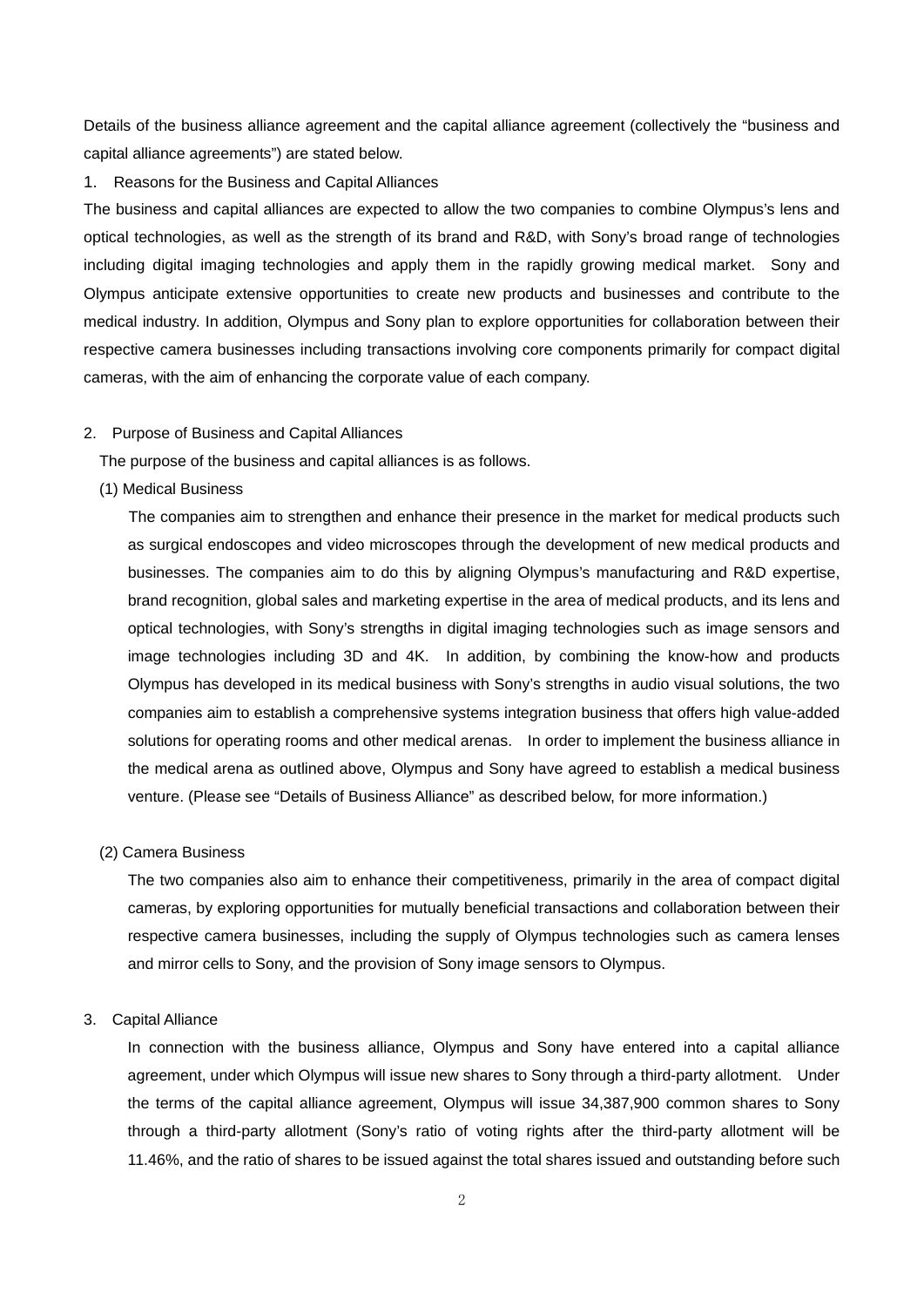Details of the business alliance agreement and the capital alliance agreement (collectively the "business and capital alliance agreements") are stated below.

1. Reasons for the Business and Capital Alliances

The business and capital alliances are expected to allow the two companies to combine Olympus's lens and optical technologies, as well as the strength of its brand and R&D, with Sony's broad range of technologies including digital imaging technologies and apply them in the rapidly growing medical market. Sony and Olympus anticipate extensive opportunities to create new products and businesses and contribute to the medical industry. In addition, Olympus and Sony plan to explore opportunities for collaboration between their respective camera businesses including transactions involving core components primarily for compact digital cameras, with the aim of enhancing the corporate value of each company.

## 2. Purpose of Business and Capital Alliances

The purpose of the business and capital alliances is as follows.

(1) Medical Business

The companies aim to strengthen and enhance their presence in the market for medical products such as surgical endoscopes and video microscopes through the development of new medical products and businesses. The companies aim to do this by aligning Olympus's manufacturing and R&D expertise, brand recognition, global sales and marketing expertise in the area of medical products, and its lens and optical technologies, with Sony's strengths in digital imaging technologies such as image sensors and image technologies including 3D and 4K. In addition, by combining the know-how and products Olympus has developed in its medical business with Sony's strengths in audio visual solutions, the two companies aim to establish a comprehensive systems integration business that offers high value-added solutions for operating rooms and other medical arenas. In order to implement the business alliance in the medical arena as outlined above, Olympus and Sony have agreed to establish a medical business venture. (Please see "Details of Business Alliance" as described below, for more information.)

#### (2) Camera Business

The two companies also aim to enhance their competitiveness, primarily in the area of compact digital cameras, by exploring opportunities for mutually beneficial transactions and collaboration between their respective camera businesses, including the supply of Olympus technologies such as camera lenses and mirror cells to Sony, and the provision of Sony image sensors to Olympus.

#### 3. Capital Alliance

In connection with the business alliance, Olympus and Sony have entered into a capital alliance agreement, under which Olympus will issue new shares to Sony through a third-party allotment. Under the terms of the capital alliance agreement, Olympus will issue 34,387,900 common shares to Sony through a third-party allotment (Sony's ratio of voting rights after the third-party allotment will be 11.46%, and the ratio of shares to be issued against the total shares issued and outstanding before such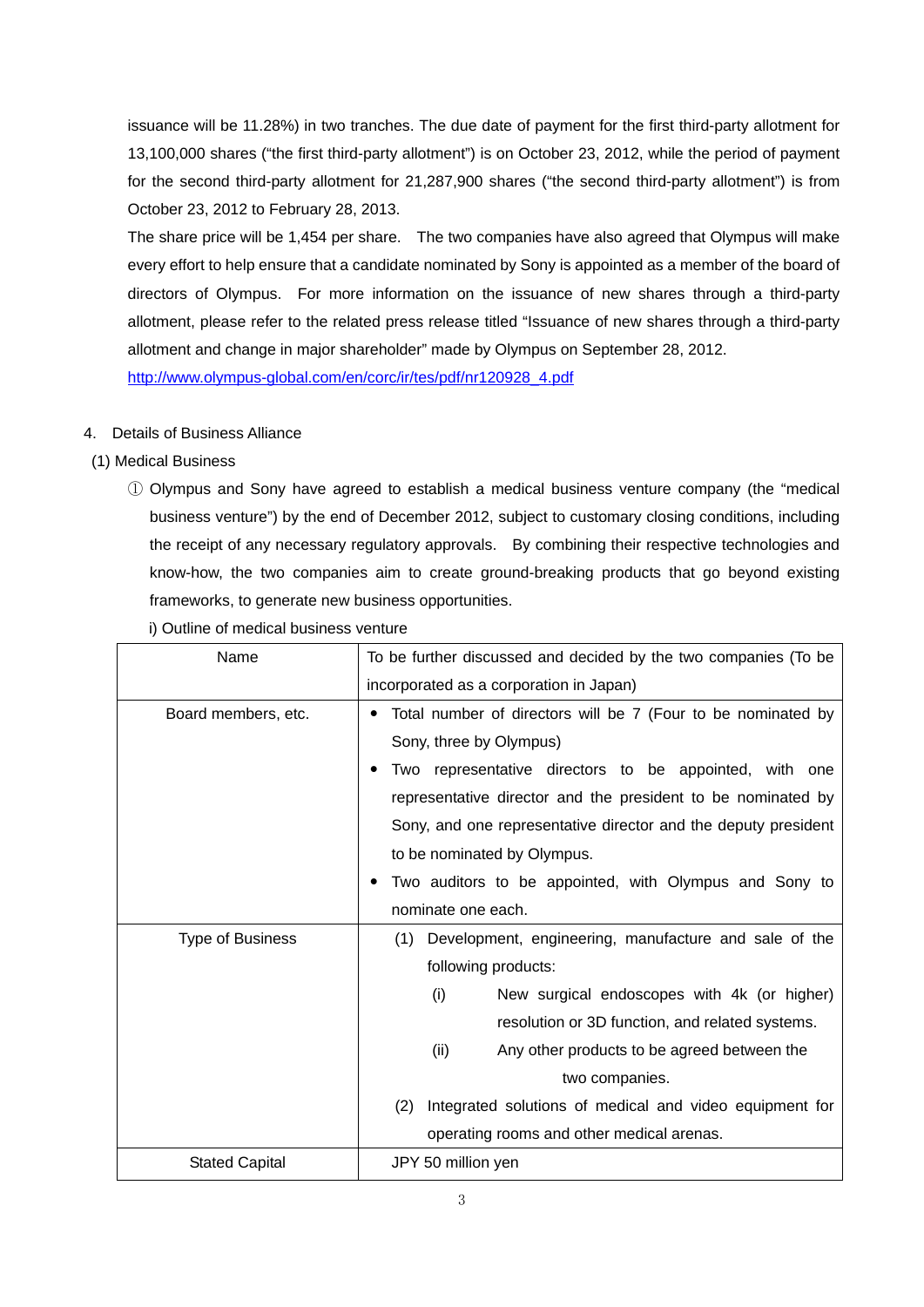issuance will be 11.28%) in two tranches. The due date of payment for the first third-party allotment for 13,100,000 shares ("the first third-party allotment") is on October 23, 2012, while the period of payment for the second third-party allotment for 21,287,900 shares ("the second third-party allotment") is from October 23, 2012 to February 28, 2013.

The share price will be 1,454 per share. The two companies have also agreed that Olympus will make every effort to help ensure that a candidate nominated by Sony is appointed as a member of the board of directors of Olympus. For more information on the issuance of new shares through a third-party allotment, please refer to the related press release titled "Issuance of new shares through a third-party allotment and change in major shareholder" made by Olympus on September 28, 2012. http://www.olympus-global.com/en/corc/ir/tes/pdf/nr120928\_4.pdf

## 4. Details of Business Alliance

# (1) Medical Business

① Olympus and Sony have agreed to establish a medical business venture company (the "medical business venture") by the end of December 2012, subject to customary closing conditions, including the receipt of any necessary regulatory approvals. By combining their respective technologies and know-how, the two companies aim to create ground-breaking products that go beyond existing frameworks, to generate new business opportunities.

| Name                    | To be further discussed and decided by the two companies (To be   |  |  |  |  |
|-------------------------|-------------------------------------------------------------------|--|--|--|--|
|                         | incorporated as a corporation in Japan)                           |  |  |  |  |
| Board members, etc.     | Total number of directors will be 7 (Four to be nominated by<br>٠ |  |  |  |  |
|                         | Sony, three by Olympus)                                           |  |  |  |  |
|                         | Two representative directors to be appointed, with one<br>٠       |  |  |  |  |
|                         | representative director and the president to be nominated by      |  |  |  |  |
|                         | Sony, and one representative director and the deputy president    |  |  |  |  |
|                         | to be nominated by Olympus.                                       |  |  |  |  |
|                         | Two auditors to be appointed, with Olympus and Sony to<br>٠       |  |  |  |  |
|                         | nominate one each.                                                |  |  |  |  |
| <b>Type of Business</b> | Development, engineering, manufacture and sale of the<br>(1)      |  |  |  |  |
|                         | following products:                                               |  |  |  |  |
|                         | (i)<br>New surgical endoscopes with 4k (or higher)                |  |  |  |  |
|                         | resolution or 3D function, and related systems.                   |  |  |  |  |
|                         | (ii)<br>Any other products to be agreed between the               |  |  |  |  |
|                         | two companies.                                                    |  |  |  |  |
|                         | Integrated solutions of medical and video equipment for<br>(2)    |  |  |  |  |
|                         | operating rooms and other medical arenas.                         |  |  |  |  |
| <b>Stated Capital</b>   | JPY 50 million yen                                                |  |  |  |  |

i) Outline of medical business venture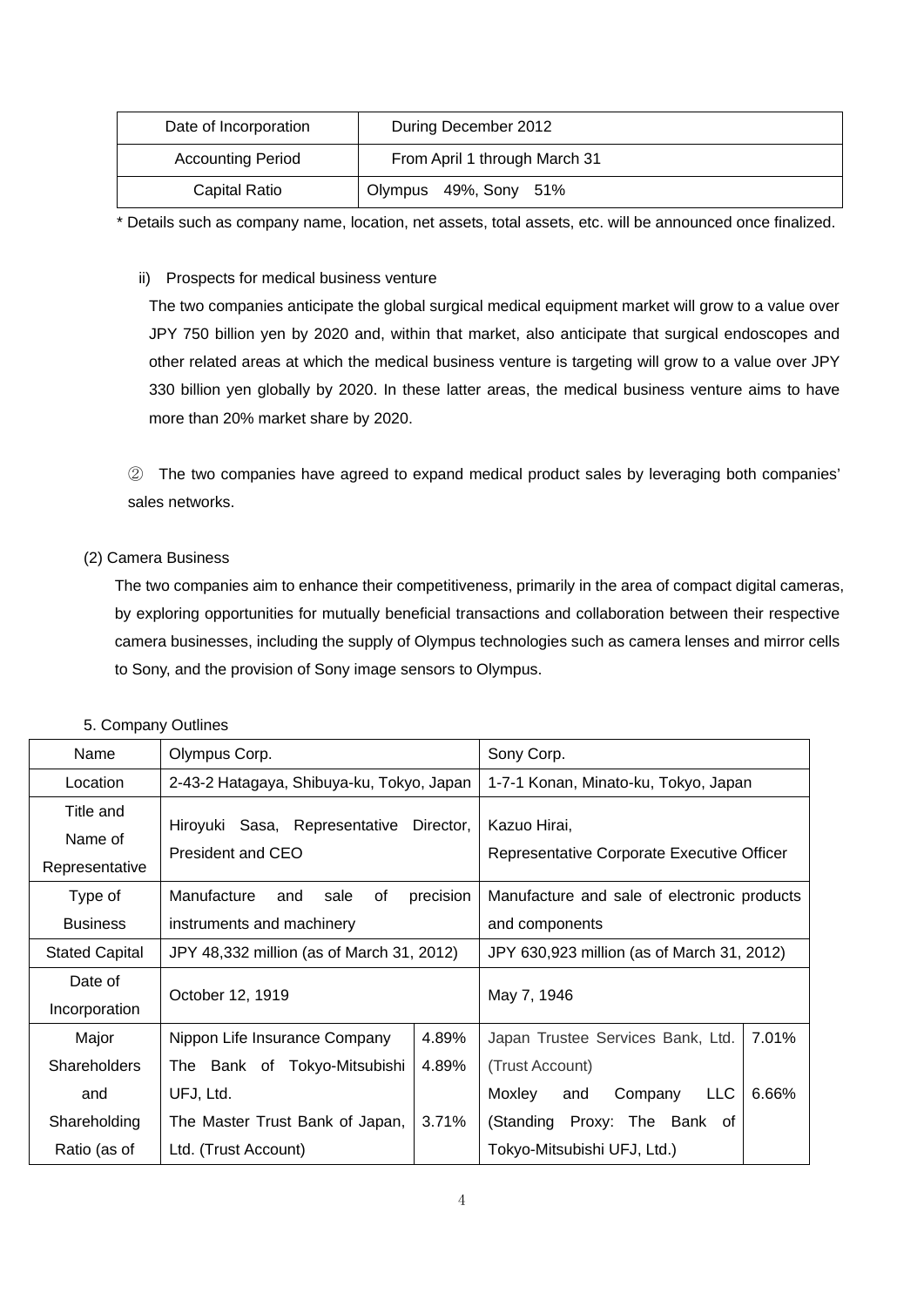| Date of Incorporation    | During December 2012          |
|--------------------------|-------------------------------|
| <b>Accounting Period</b> | From April 1 through March 31 |
| Capital Ratio            | Olympus 49%, Sony 51%         |

\* Details such as company name, location, net assets, total assets, etc. will be announced once finalized.

ii) Prospects for medical business venture

The two companies anticipate the global surgical medical equipment market will grow to a value over JPY 750 billion yen by 2020 and, within that market, also anticipate that surgical endoscopes and other related areas at which the medical business venture is targeting will grow to a value over JPY 330 billion yen globally by 2020. In these latter areas, the medical business venture aims to have more than 20% market share by 2020.

② The two companies have agreed to expand medical product sales by leveraging both companies' sales networks.

# (2) Camera Business

The two companies aim to enhance their competitiveness, primarily in the area of compact digital cameras, by exploring opportunities for mutually beneficial transactions and collaboration between their respective camera businesses, including the supply of Olympus technologies such as camera lenses and mirror cells to Sony, and the provision of Sony image sensors to Olympus.

| Name                                   | Olympus Corp.                                      |           | Sony Corp.                                                 |  |
|----------------------------------------|----------------------------------------------------|-----------|------------------------------------------------------------|--|
| Location                               | 2-43-2 Hatagaya, Shibuya-ku, Tokyo, Japan          |           | 1-7-1 Konan, Minato-ku, Tokyo, Japan                       |  |
| Title and<br>Name of<br>Representative | Hiroyuki Sasa, Representative<br>President and CEO | Director, | Kazuo Hirai,<br>Representative Corporate Executive Officer |  |
| Type of                                | of<br>Manufacture<br>sale<br>and                   | precision | Manufacture and sale of electronic products                |  |
| <b>Business</b>                        | instruments and machinery                          |           | and components                                             |  |
| <b>Stated Capital</b>                  | JPY 48,332 million (as of March 31, 2012)          |           | JPY 630,923 million (as of March 31, 2012)                 |  |
| Date of<br>Incorporation               | October 12, 1919                                   |           | May 7, 1946                                                |  |
| Major                                  | Nippon Life Insurance Company                      | 4.89%     | 7.01%<br>Japan Trustee Services Bank, Ltd.                 |  |
| <b>Shareholders</b>                    | The Bank of Tokyo-Mitsubishi                       | 4.89%     | (Trust Account)                                            |  |
| and                                    | UFJ, Ltd.                                          |           | 6.66%<br>Moxley<br><b>LLC</b><br>Company<br>and            |  |
| Shareholding                           | The Master Trust Bank of Japan,                    | 3.71%     | Proxy: The Bank of<br>(Standing                            |  |
| Ratio (as of                           | Ltd. (Trust Account)                               |           | Tokyo-Mitsubishi UFJ, Ltd.)                                |  |

#### 5. Company Outlines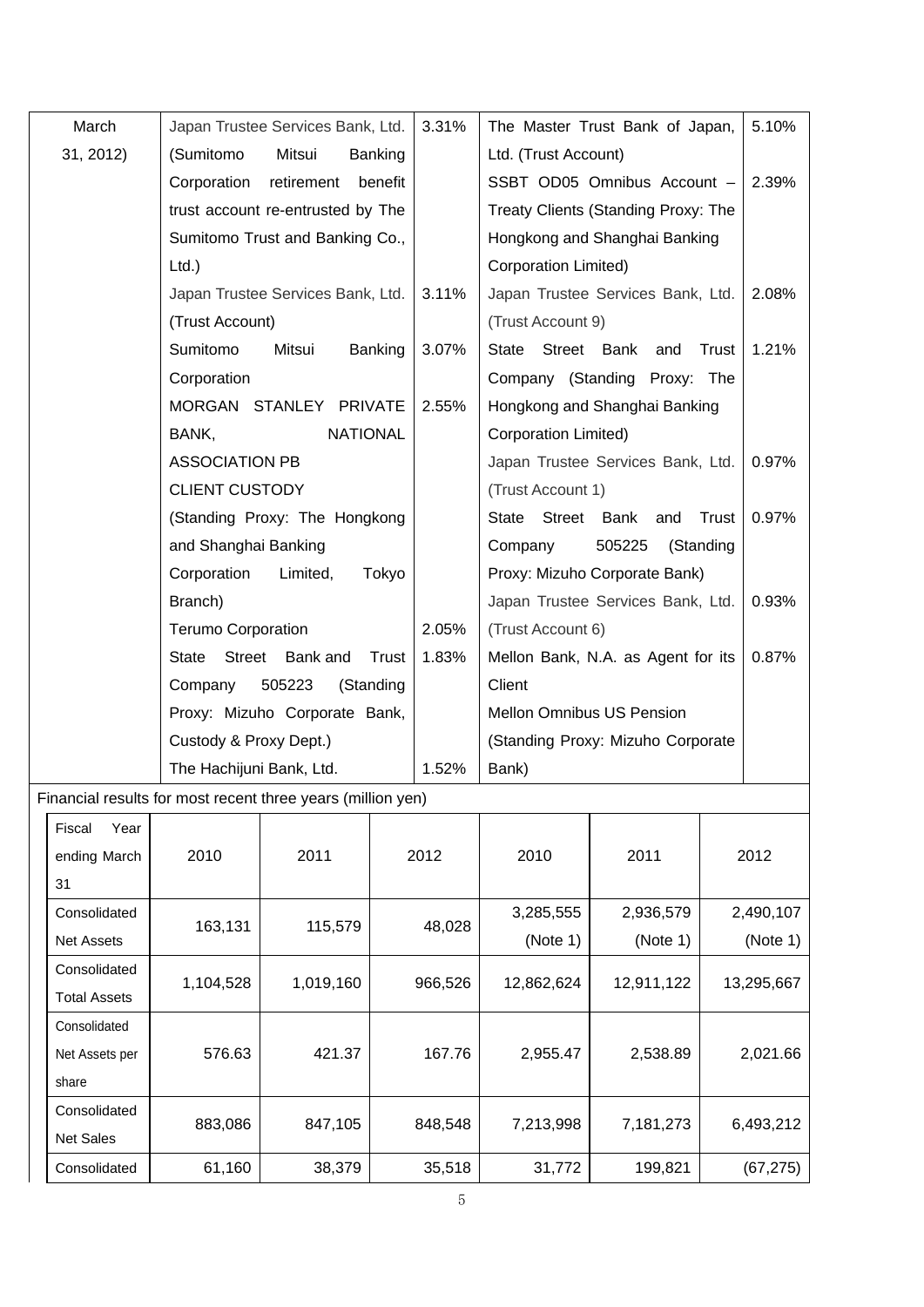| March          | Japan Trustee Services Bank, Ltd.                           | 3.31% | The Master Trust Bank of Japan,      | 5.10% |
|----------------|-------------------------------------------------------------|-------|--------------------------------------|-------|
| 31, 2012)      | Mitsui<br>(Sumitomo<br>Banking                              |       | Ltd. (Trust Account)                 |       |
|                | Corporation<br>retirement<br>benefit                        |       | SSBT OD05 Omnibus Account -          | 2.39% |
|                | trust account re-entrusted by The                           |       | Treaty Clients (Standing Proxy: The  |       |
|                | Sumitomo Trust and Banking Co.,                             |       | Hongkong and Shanghai Banking        |       |
|                | $Ltd.$ )                                                    |       | Corporation Limited)                 |       |
|                | Japan Trustee Services Bank, Ltd.                           | 3.11% | Japan Trustee Services Bank, Ltd.    | 2.08% |
|                | (Trust Account)                                             |       | (Trust Account 9)                    |       |
|                | Sumitomo<br>Mitsui<br>Banking                               | 3.07% | Street Bank<br>State<br>Trust<br>and | 1.21% |
|                | Corporation                                                 |       | Company (Standing Proxy: The         |       |
|                | MORGAN STANLEY PRIVATE                                      | 2.55% | Hongkong and Shanghai Banking        |       |
|                | <b>NATIONAL</b><br>BANK,                                    |       | <b>Corporation Limited)</b>          |       |
|                | <b>ASSOCIATION PB</b>                                       |       | Japan Trustee Services Bank, Ltd.    | 0.97% |
|                | <b>CLIENT CUSTODY</b>                                       |       | (Trust Account 1)                    |       |
|                | (Standing Proxy: The Hongkong                               |       | Street Bank<br>Trust<br>State<br>and | 0.97% |
|                | and Shanghai Banking                                        |       | 505225<br>(Standing<br>Company       |       |
|                | Corporation<br>Limited,<br>Tokyo                            |       | Proxy: Mizuho Corporate Bank)        |       |
|                | Branch)                                                     |       | Japan Trustee Services Bank, Ltd.    | 0.93% |
|                | <b>Terumo Corporation</b>                                   | 2.05% | (Trust Account 6)                    |       |
|                | Street<br>Bank and<br>Trust<br>State                        | 1.83% | Mellon Bank, N.A. as Agent for its   | 0.87% |
|                | 505223<br>(Standing<br>Company                              |       | Client                               |       |
|                | Proxy: Mizuho Corporate Bank,                               |       | <b>Mellon Omnibus US Pension</b>     |       |
|                | Custody & Proxy Dept.)                                      |       | (Standing Proxy: Mizuho Corporate    |       |
|                | The Hachijuni Bank, Ltd.                                    | 1.52% | Bank)                                |       |
|                | Financial results for most recent three years (million yen) |       |                                      |       |
| Fiscal<br>Year |                                                             |       |                                      |       |

| Fiscal<br>Year<br>ending March<br>31 | 2010      | 2011      | 2012    | 2010       | 2011       | 2012       |
|--------------------------------------|-----------|-----------|---------|------------|------------|------------|
| Consolidated                         |           |           |         | 3,285,555  | 2,936,579  | 2,490,107  |
| <b>Net Assets</b>                    | 163,131   | 115,579   | 48,028  | (Note 1)   | (Note 1)   | (Note 1)   |
| Consolidated                         |           |           |         |            |            |            |
| <b>Total Assets</b>                  | 1,104,528 | 1,019,160 | 966,526 | 12,862,624 | 12,911,122 | 13,295,667 |
| Consolidated                         |           |           |         |            |            |            |
| Net Assets per                       | 576.63    | 421.37    | 167.76  | 2,955.47   | 2,538.89   | 2,021.66   |
| share                                |           |           |         |            |            |            |
| Consolidated                         |           |           |         | 7,213,998  | 7,181,273  |            |
| <b>Net Sales</b>                     | 883,086   | 847,105   | 848,548 |            |            | 6,493,212  |
| Consolidated                         | 61,160    | 38,379    | 35,518  | 31,772     | 199,821    | (67, 275)  |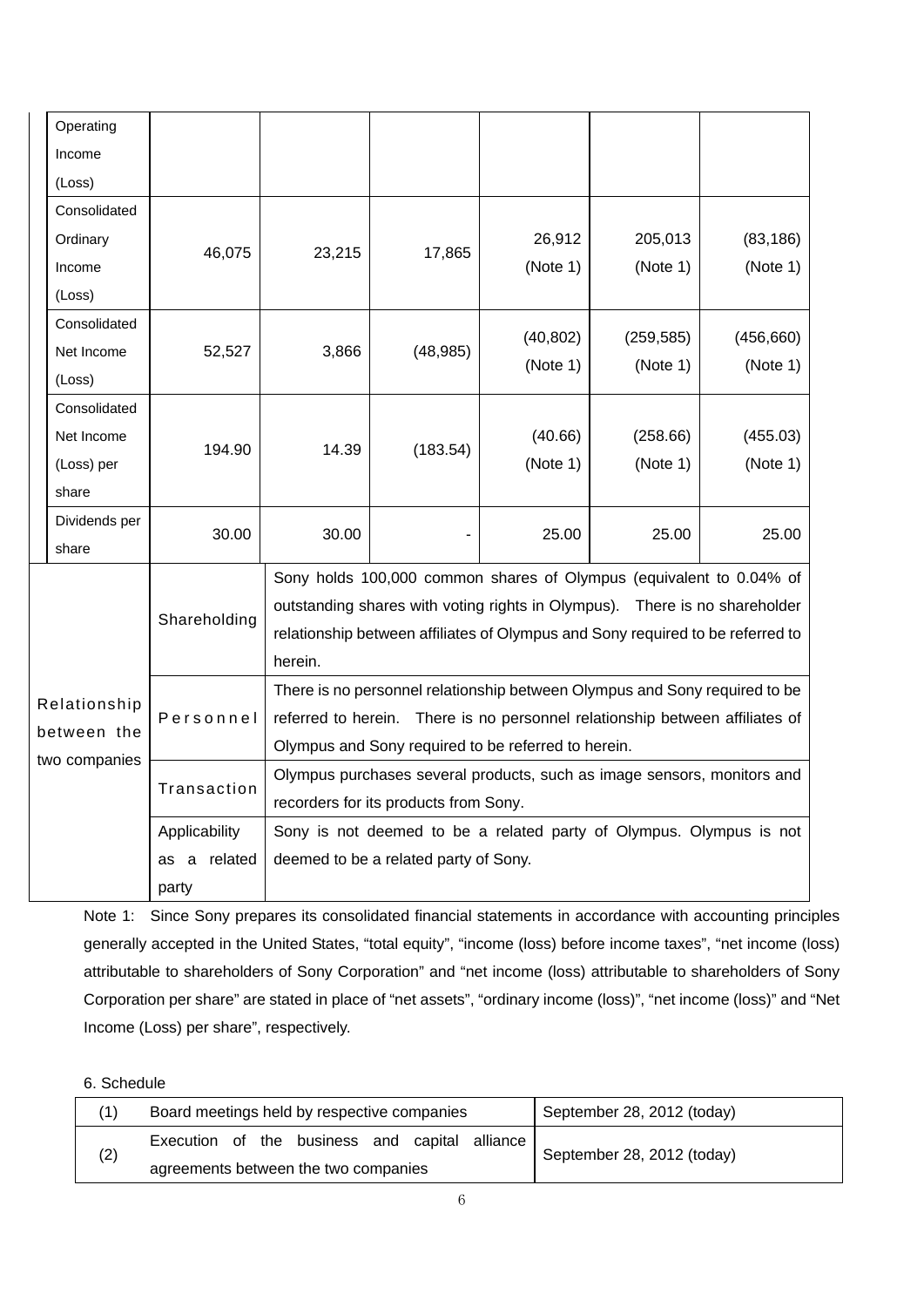|               | Operating     |                                                     |                                                                                |                                       |                                                                     |            |            |  |
|---------------|---------------|-----------------------------------------------------|--------------------------------------------------------------------------------|---------------------------------------|---------------------------------------------------------------------|------------|------------|--|
|               | Income        |                                                     |                                                                                |                                       |                                                                     |            |            |  |
|               | (Loss)        |                                                     |                                                                                |                                       |                                                                     |            |            |  |
|               | Consolidated  |                                                     |                                                                                |                                       |                                                                     |            |            |  |
|               | Ordinary      |                                                     | 23,215                                                                         | 17,865                                | 26,912                                                              | 205,013    | (83, 186)  |  |
|               | Income        | 46,075                                              |                                                                                |                                       | (Note 1)                                                            | (Note 1)   | (Note 1)   |  |
|               | (Loss)        |                                                     |                                                                                |                                       |                                                                     |            |            |  |
|               | Consolidated  |                                                     |                                                                                |                                       | (40, 802)                                                           | (259, 585) | (456, 660) |  |
|               | Net Income    | 52,527                                              | 3,866                                                                          | (48, 985)                             | (Note 1)                                                            |            | (Note 1)   |  |
|               | (Loss)        |                                                     |                                                                                |                                       |                                                                     | (Note 1)   |            |  |
|               | Consolidated  |                                                     |                                                                                |                                       |                                                                     |            |            |  |
|               | Net Income    |                                                     |                                                                                |                                       | (40.66)                                                             | (258.66)   | (455.03)   |  |
|               | (Loss) per    | 194.90                                              | 14.39                                                                          | (183.54)                              | (Note 1)                                                            | (Note 1)   | (Note 1)   |  |
|               | share         |                                                     |                                                                                |                                       |                                                                     |            |            |  |
|               | Dividends per | 30.00                                               | 30.00                                                                          |                                       | 25.00                                                               | 25.00      | 25.00      |  |
|               | share         |                                                     |                                                                                |                                       |                                                                     |            |            |  |
|               |               |                                                     | Sony holds 100,000 common shares of Olympus (equivalent to 0.04% of            |                                       |                                                                     |            |            |  |
|               |               | Shareholding                                        | outstanding shares with voting rights in Olympus). There is no shareholder     |                                       |                                                                     |            |            |  |
|               |               |                                                     | relationship between affiliates of Olympus and Sony required to be referred to |                                       |                                                                     |            |            |  |
|               |               |                                                     | herein.                                                                        |                                       |                                                                     |            |            |  |
|               | Relationship  |                                                     | There is no personnel relationship between Olympus and Sony required to be     |                                       |                                                                     |            |            |  |
|               |               | Personnel                                           | referred to herein. There is no personnel relationship between affiliates of   |                                       |                                                                     |            |            |  |
| between the   |               | Olympus and Sony required to be referred to herein. |                                                                                |                                       |                                                                     |            |            |  |
| two companies |               | Transaction                                         | Olympus purchases several products, such as image sensors, monitors and        |                                       |                                                                     |            |            |  |
|               |               |                                                     | recorders for its products from Sony.                                          |                                       |                                                                     |            |            |  |
|               |               | Applicability                                       |                                                                                |                                       | Sony is not deemed to be a related party of Olympus. Olympus is not |            |            |  |
|               |               | related<br>as a                                     |                                                                                | deemed to be a related party of Sony. |                                                                     |            |            |  |
| party         |               |                                                     |                                                                                |                                       |                                                                     |            |            |  |

Note 1: Since Sony prepares its consolidated financial statements in accordance with accounting principles generally accepted in the United States, "total equity", "income (loss) before income taxes", "net income (loss) attributable to shareholders of Sony Corporation" and "net income (loss) attributable to shareholders of Sony Corporation per share" are stated in place of "net assets", "ordinary income (loss)", "net income (loss)" and "Net Income (Loss) per share", respectively.

# 6. Schedule

|     | Board meetings held by respective companies    | September 28, 2012 (today) |
|-----|------------------------------------------------|----------------------------|
| (2) | Execution of the business and capital alliance | September 28, 2012 (today) |
|     | agreements between the two companies           |                            |